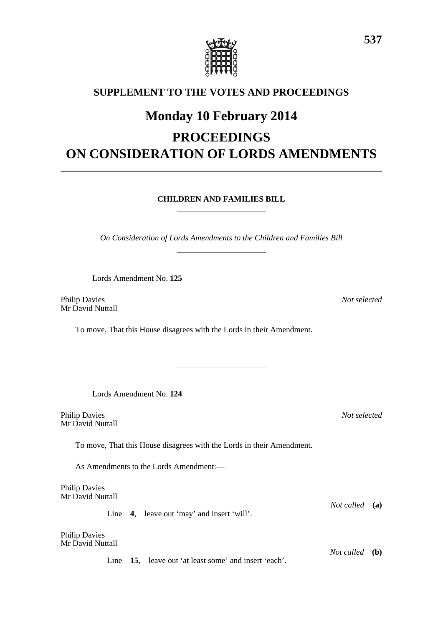

### **SUPPLEMENT TO THE VOTES AND PROCEEDINGS**

## **Monday 10 February 2014**

# **PROCEEDINGS ON CONSIDERATION OF LORDS AMENDMENTS**

**CHILDREN AND FAMILIES BILL**

*On Consideration of Lords Amendments to the Children and Families Bill*

Lords Amendment No. **125**

Philip Davies *Not selected* Mr David Nuttall

To move, That this House disagrees with the Lords in their Amendment.

Lords Amendment No. **124**

Philip Davies *Not selected* Mr David Nuttall

To move, That this House disagrees with the Lords in their Amendment.

As Amendments to the Lords Amendment:—

Philip Davies Mr David Nuttall

Line **4**, leave out 'may' and insert 'will'.

Philip Davies Mr David Nuttall

*Not called* **(b)** Line **15**, leave out 'at least some' and insert 'each'.

*Not called* **(a)**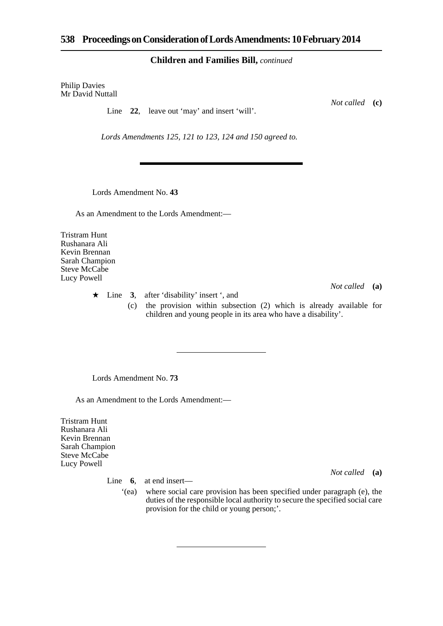#### **Children and Families Bill,** *continued*

Philip Davies Mr David Nuttall

Line 22, leave out 'may' and insert 'will'.

*Lords Amendments 125, 121 to 123, 124 and 150 agreed to.*

Lords Amendment No. **43**

As an Amendment to the Lords Amendment:—

Tristram Hunt Rushanara Ali Kevin Brennan Sarah Champion Steve McCabe Lucy Powell

*Not called* **(a)**

*Not called* **(a)**

- Line **3**, after 'disability' insert ', and
	- (c) the provision within subsection (2) which is already available for children and young people in its area who have a disability'.

Lords Amendment No. **73**

As an Amendment to the Lords Amendment:—

Tristram Hunt Rushanara Ali Kevin Brennan Sarah Champion Steve McCabe Lucy Powell

Line **6**, at end insert—

'(ea) where social care provision has been specified under paragraph (e), the duties of the responsible local authority to secure the specified social care provision for the child or young person;'.

*Not called* **(c)**